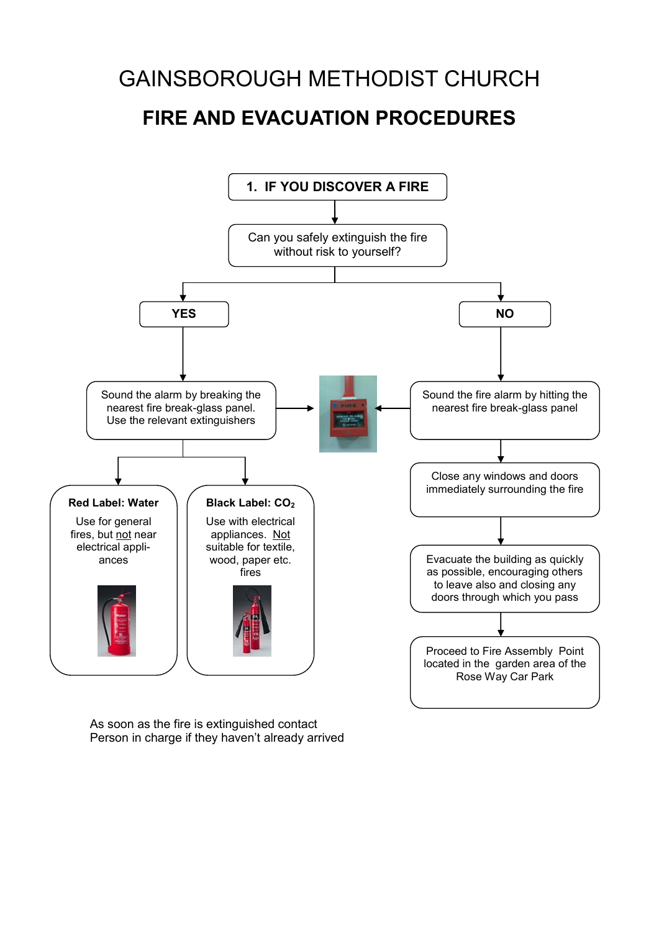# GAINSBOROUGH METHODIST CHURCH **FIRE AND EVACUATION PROCEDURES**



As soon as the fire is extinguished contact Person in charge if they haven't already arrived